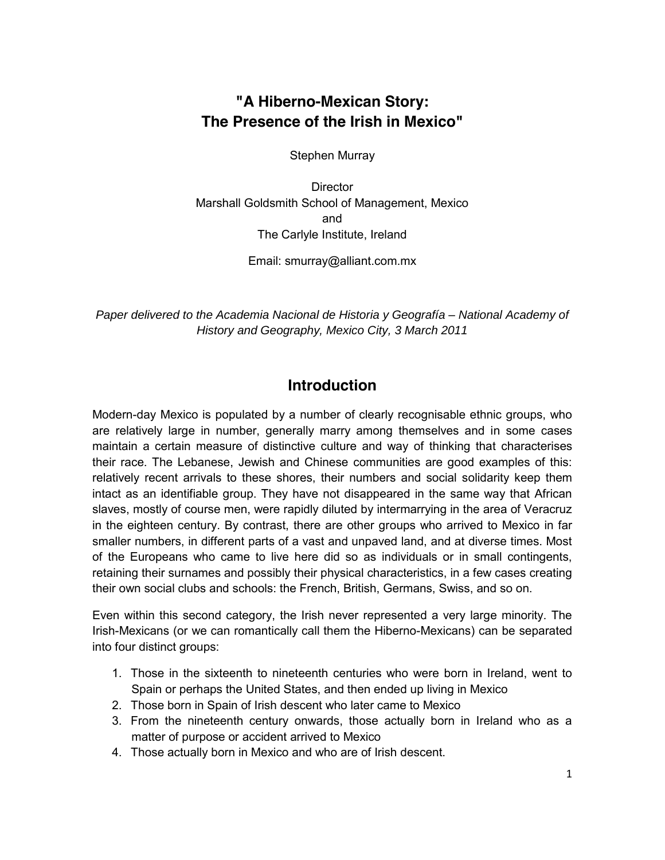# **"A Hiberno-Mexican Story: The Presence of the Irish in Mexico"**

Stephen Murray

**Director** Marshall Goldsmith School of Management, Mexico and The Carlyle Institute, Ireland

Email: smurray@alliant.com.mx

Paper delivered to the Academia Nacional de Historia y Geografía – National Academy of History and Geography, Mexico City, 3 March 2011

# **Introduction**

Modern-day Mexico is populated by a number of clearly recognisable ethnic groups, who are relatively large in number, generally marry among themselves and in some cases maintain a certain measure of distinctive culture and way of thinking that characterises their race. The Lebanese, Jewish and Chinese communities are good examples of this: relatively recent arrivals to these shores, their numbers and social solidarity keep them intact as an identifiable group. They have not disappeared in the same way that African slaves, mostly of course men, were rapidly diluted by intermarrying in the area of Veracruz in the eighteen century. By contrast, there are other groups who arrived to Mexico in far smaller numbers, in different parts of a vast and unpaved land, and at diverse times. Most of the Europeans who came to live here did so as individuals or in small contingents, retaining their surnames and possibly their physical characteristics, in a few cases creating their own social clubs and schools: the French, British, Germans, Swiss, and so on.

Even within this second category, the Irish never represented a very large minority. The Irish-Mexicans (or we can romantically call them the Hiberno-Mexicans) can be separated into four distinct groups:

- 1. Those in the sixteenth to nineteenth centuries who were born in Ireland, went to Spain or perhaps the United States, and then ended up living in Mexico
- 2. Those born in Spain of Irish descent who later came to Mexico
- 3. From the nineteenth century onwards, those actually born in Ireland who as a matter of purpose or accident arrived to Mexico
- 4. Those actually born in Mexico and who are of Irish descent.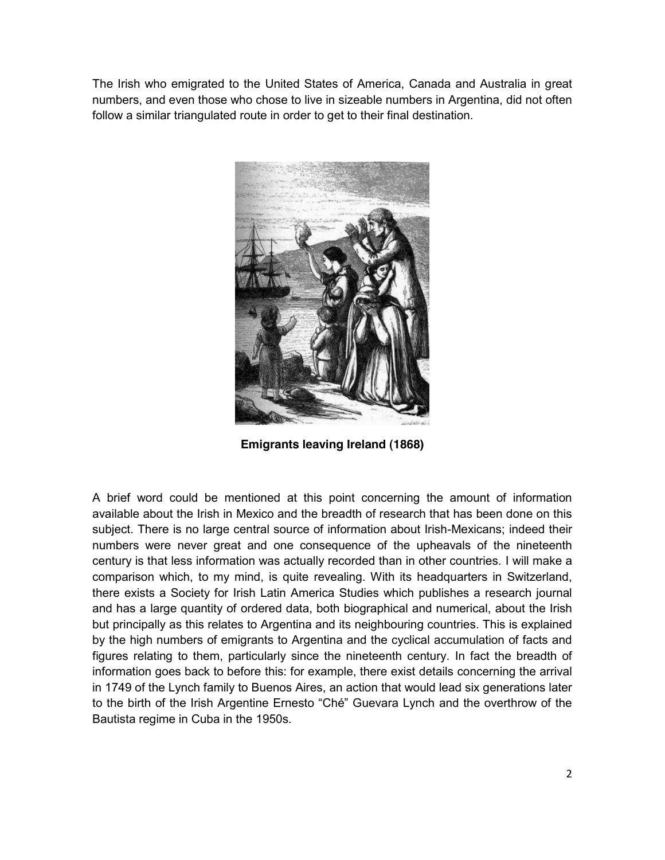The Irish who emigrated to the United States of America, Canada and Australia in great numbers, and even those who chose to live in sizeable numbers in Argentina, did not often follow a similar triangulated route in order to get to their final destination.



**Emigrants leaving Ireland (1868)**

A brief word could be mentioned at this point concerning the amount of information available about the Irish in Mexico and the breadth of research that has been done on this subject. There is no large central source of information about Irish-Mexicans; indeed their numbers were never great and one consequence of the upheavals of the nineteenth century is that less information was actually recorded than in other countries. I will make a comparison which, to my mind, is quite revealing. With its headquarters in Switzerland, there exists a Society for Irish Latin America Studies which publishes a research journal and has a large quantity of ordered data, both biographical and numerical, about the Irish but principally as this relates to Argentina and its neighbouring countries. This is explained by the high numbers of emigrants to Argentina and the cyclical accumulation of facts and figures relating to them, particularly since the nineteenth century. In fact the breadth of information goes back to before this: for example, there exist details concerning the arrival in 1749 of the Lynch family to Buenos Aires, an action that would lead six generations later to the birth of the Irish Argentine Ernesto "Ché" Guevara Lynch and the overthrow of the Bautista regime in Cuba in the 1950s.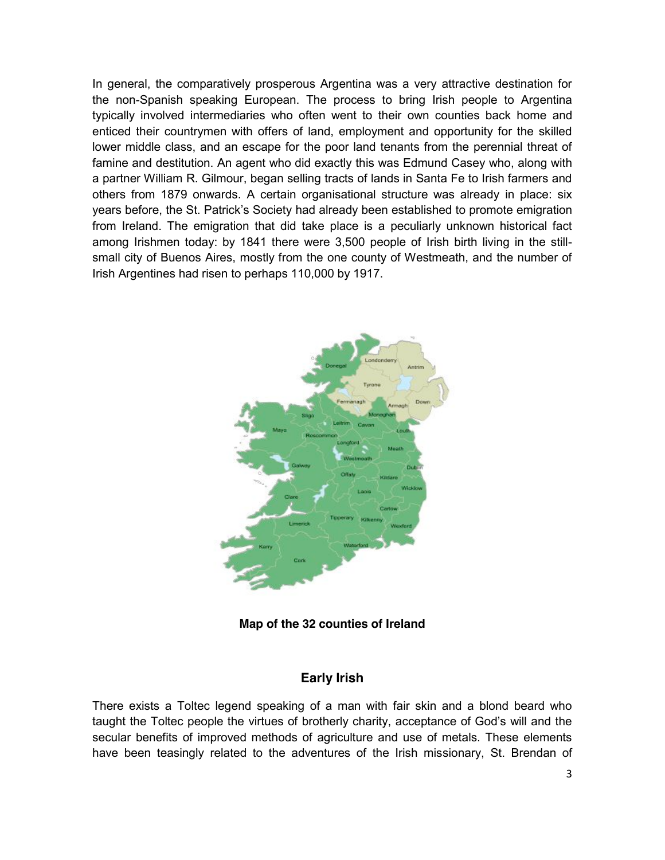In general, the comparatively prosperous Argentina was a very attractive destination for the non-Spanish speaking European. The process to bring Irish people to Argentina typically involved intermediaries who often went to their own counties back home and enticed their countrymen with offers of land, employment and opportunity for the skilled lower middle class, and an escape for the poor land tenants from the perennial threat of famine and destitution. An agent who did exactly this was Edmund Casey who, along with a partner William R. Gilmour, began selling tracts of lands in Santa Fe to Irish farmers and others from 1879 onwards. A certain organisational structure was already in place: six years before, the St. Patrick's Society had already been established to promote emigration from Ireland. The emigration that did take place is a peculiarly unknown historical fact among Irishmen today: by 1841 there were 3,500 people of Irish birth living in the stillsmall city of Buenos Aires, mostly from the one county of Westmeath, and the number of Irish Argentines had risen to perhaps 110,000 by 1917.



**Map of the 32 counties of Ireland**

## **Early Irish**

There exists a Toltec legend speaking of a man with fair skin and a blond beard who taught the Toltec people the virtues of brotherly charity, acceptance of God's will and the secular benefits of improved methods of agriculture and use of metals. These elements have been teasingly related to the adventures of the Irish missionary, St. Brendan of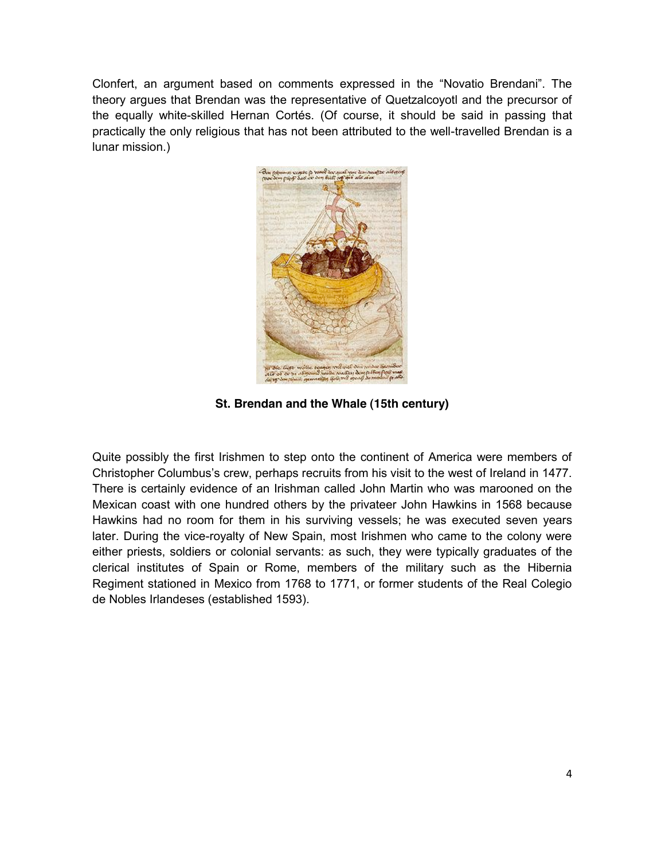Clonfert, an argument based on comments expressed in the "Novatio Brendani". The theory argues that Brendan was the representative of Quetzalcoyotl and the precursor of the equally white-skilled Hernan Cortés. (Of course, it should be said in passing that practically the only religious that has not been attributed to the well-travelled Brendan is a lunar mission.)



**St. Brendan and the Whale (15th century)**

Quite possibly the first Irishmen to step onto the continent of America were members of Christopher Columbus's crew, perhaps recruits from his visit to the west of Ireland in 1477. There is certainly evidence of an Irishman called John Martin who was marooned on the Mexican coast with one hundred others by the privateer John Hawkins in 1568 because Hawkins had no room for them in his surviving vessels; he was executed seven years later. During the vice-royalty of New Spain, most Irishmen who came to the colony were either priests, soldiers or colonial servants: as such, they were typically graduates of the clerical institutes of Spain or Rome, members of the military such as the Hibernia Regiment stationed in Mexico from 1768 to 1771, or former students of the Real Colegio de Nobles Irlandeses (established 1593).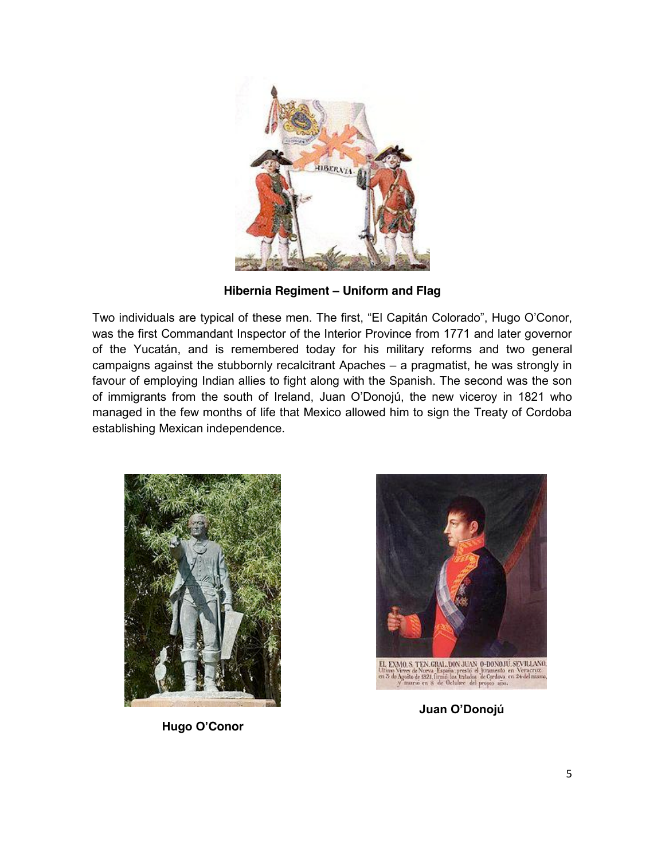

**Hibernia Regiment – Uniform and Flag**

Two individuals are typical of these men. The first, "El Capitán Colorado", Hugo O'Conor, was the first Commandant Inspector of the Interior Province from 1771 and later governor of the Yucatán, and is remembered today for his military reforms and two general campaigns against the stubbornly recalcitrant Apaches – a pragmatist, he was strongly in favour of employing Indian allies to fight along with the Spanish. The second was the son of immigrants from the south of Ireland, Juan O'Donojú, the new viceroy in 1821 who managed in the few months of life that Mexico allowed him to sign the Treaty of Cordoba establishing Mexican independence.





**Juan O'Donojú**

**Hugo O'Conor**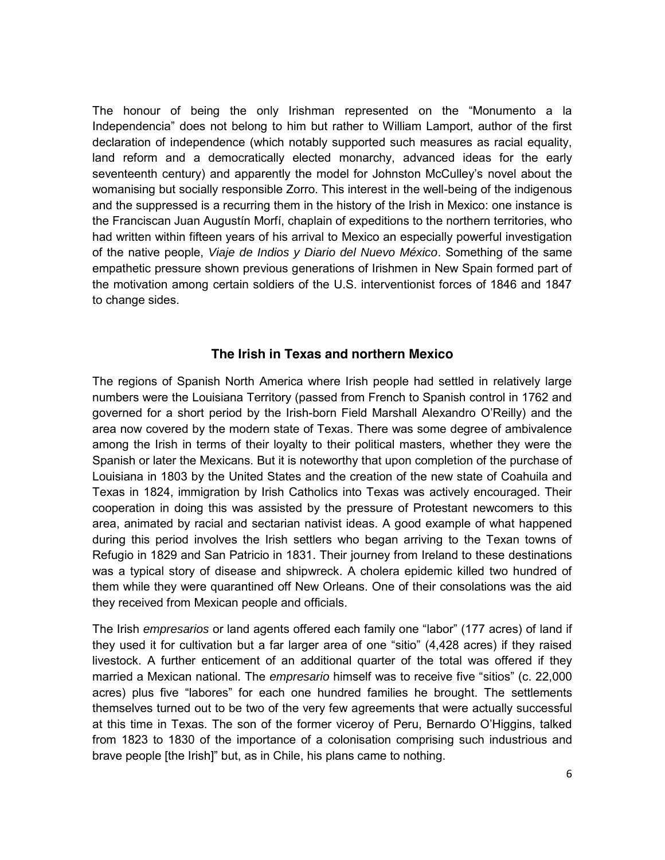The honour of being the only Irishman represented on the "Monumento a la Independencia" does not belong to him but rather to William Lamport, author of the first declaration of independence (which notably supported such measures as racial equality, land reform and a democratically elected monarchy, advanced ideas for the early seventeenth century) and apparently the model for Johnston McCulley's novel about the womanising but socially responsible Zorro. This interest in the well-being of the indigenous and the suppressed is a recurring them in the history of the Irish in Mexico: one instance is the Franciscan Juan Augustín Morfí, chaplain of expeditions to the northern territories, who had written within fifteen years of his arrival to Mexico an especially powerful investigation of the native people, Viaje de Indios y Diario del Nuevo México. Something of the same empathetic pressure shown previous generations of Irishmen in New Spain formed part of the motivation among certain soldiers of the U.S. interventionist forces of 1846 and 1847 to change sides.

## **The Irish in Texas and northern Mexico**

The regions of Spanish North America where Irish people had settled in relatively large numbers were the Louisiana Territory (passed from French to Spanish control in 1762 and governed for a short period by the Irish-born Field Marshall Alexandro O'Reilly) and the area now covered by the modern state of Texas. There was some degree of ambivalence among the Irish in terms of their loyalty to their political masters, whether they were the Spanish or later the Mexicans. But it is noteworthy that upon completion of the purchase of Louisiana in 1803 by the United States and the creation of the new state of Coahuila and Texas in 1824, immigration by Irish Catholics into Texas was actively encouraged. Their cooperation in doing this was assisted by the pressure of Protestant newcomers to this area, animated by racial and sectarian nativist ideas. A good example of what happened during this period involves the Irish settlers who began arriving to the Texan towns of Refugio in 1829 and San Patricio in 1831. Their journey from Ireland to these destinations was a typical story of disease and shipwreck. A cholera epidemic killed two hundred of them while they were quarantined off New Orleans. One of their consolations was the aid they received from Mexican people and officials.

The Irish empresarios or land agents offered each family one "labor" (177 acres) of land if they used it for cultivation but a far larger area of one "sitio" (4,428 acres) if they raised livestock. A further enticement of an additional quarter of the total was offered if they married a Mexican national. The *empresario* himself was to receive five "sitios" (c. 22,000 acres) plus five "labores" for each one hundred families he brought. The settlements themselves turned out to be two of the very few agreements that were actually successful at this time in Texas. The son of the former viceroy of Peru, Bernardo O'Higgins, talked from 1823 to 1830 of the importance of a colonisation comprising such industrious and brave people [the Irish]" but, as in Chile, his plans came to nothing.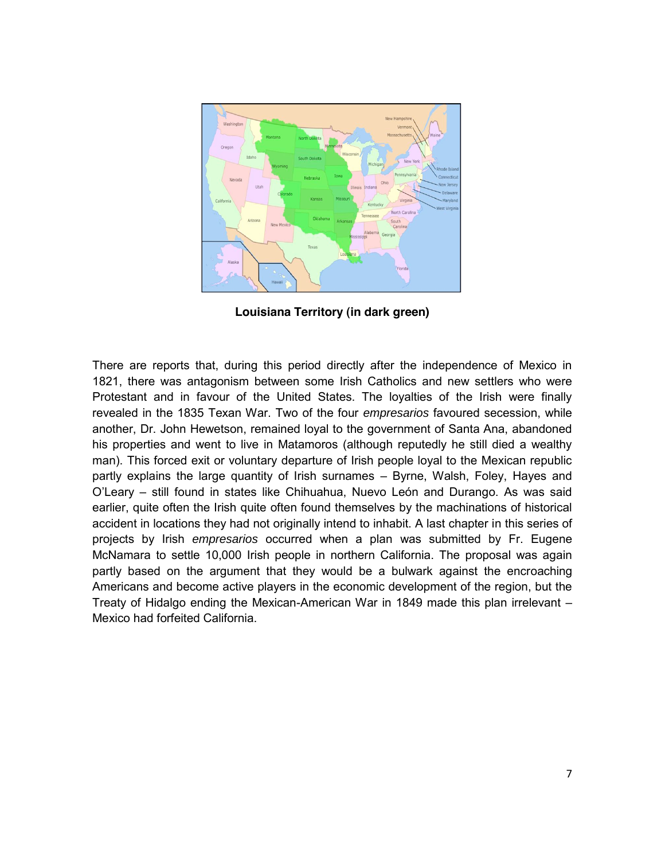

**Louisiana Territory (in dark green)**

There are reports that, during this period directly after the independence of Mexico in 1821, there was antagonism between some Irish Catholics and new settlers who were Protestant and in favour of the United States. The loyalties of the Irish were finally revealed in the 1835 Texan War. Two of the four empresarios favoured secession, while another, Dr. John Hewetson, remained loyal to the government of Santa Ana, abandoned his properties and went to live in Matamoros (although reputedly he still died a wealthy man). This forced exit or voluntary departure of Irish people loyal to the Mexican republic partly explains the large quantity of Irish surnames – Byrne, Walsh, Foley, Hayes and O'Leary – still found in states like Chihuahua, Nuevo León and Durango. As was said earlier, quite often the Irish quite often found themselves by the machinations of historical accident in locations they had not originally intend to inhabit. A last chapter in this series of projects by Irish empresarios occurred when a plan was submitted by Fr. Eugene McNamara to settle 10,000 Irish people in northern California. The proposal was again partly based on the argument that they would be a bulwark against the encroaching Americans and become active players in the economic development of the region, but the Treaty of Hidalgo ending the Mexican-American War in 1849 made this plan irrelevant – Mexico had forfeited California.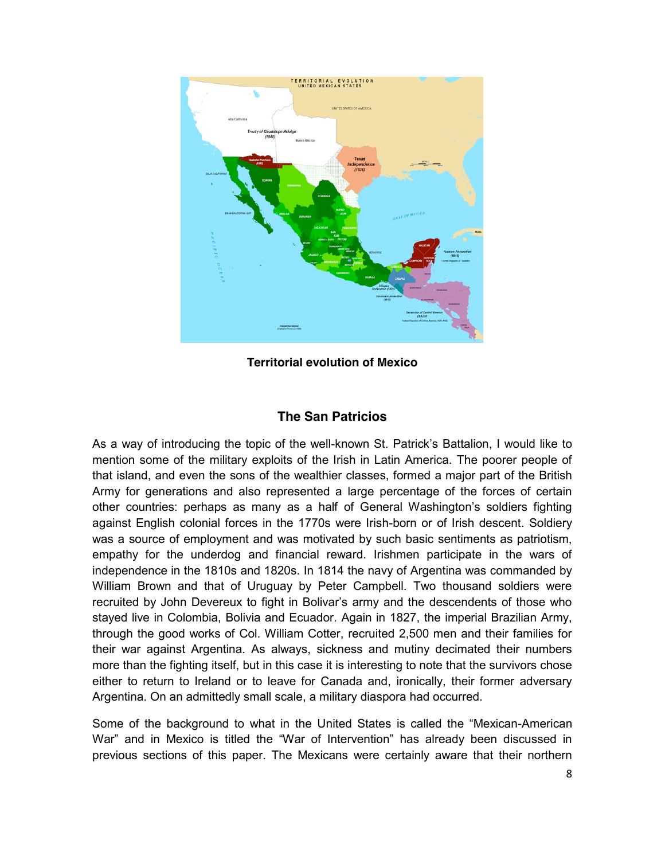

**Territorial evolution of Mexico**

# **The San Patricios**

As a way of introducing the topic of the well-known St. Patrick's Battalion, I would like to mention some of the military exploits of the Irish in Latin America. The poorer people of that island, and even the sons of the wealthier classes, formed a major part of the British Army for generations and also represented a large percentage of the forces of certain other countries: perhaps as many as a half of General Washington's soldiers fighting against English colonial forces in the 1770s were Irish-born or of Irish descent. Soldiery was a source of employment and was motivated by such basic sentiments as patriotism, empathy for the underdog and financial reward. Irishmen participate in the wars of independence in the 1810s and 1820s. In 1814 the navy of Argentina was commanded by William Brown and that of Uruguay by Peter Campbell. Two thousand soldiers were recruited by John Devereux to fight in Bolivar's army and the descendents of those who stayed live in Colombia, Bolivia and Ecuador. Again in 1827, the imperial Brazilian Army, through the good works of Col. William Cotter, recruited 2,500 men and their families for their war against Argentina. As always, sickness and mutiny decimated their numbers more than the fighting itself, but in this case it is interesting to note that the survivors chose either to return to Ireland or to leave for Canada and, ironically, their former adversary Argentina. On an admittedly small scale, a military diaspora had occurred.

Some of the background to what in the United States is called the "Mexican-American War" and in Mexico is titled the "War of Intervention" has already been discussed in previous sections of this paper. The Mexicans were certainly aware that their northern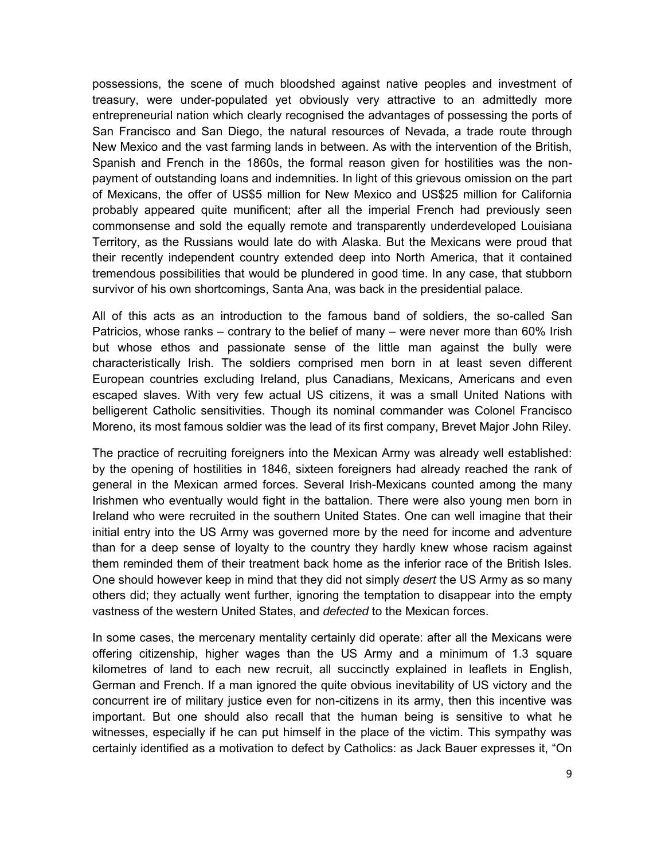possessions, the scene of much bloodshed against native peoples and investment of treasury, were under-populated yet obviously very attractive to an admittedly more entrepreneurial nation which clearly recognised the advantages of possessing the ports of San Francisco and San Diego, the natural resources of Nevada, a trade route through New Mexico and the vast farming lands in between. As with the intervention of the British, Spanish and French in the 1860s, the formal reason given for hostilities was the nonpayment of outstanding loans and indemnities. In light of this grievous omission on the part of Mexicans, the offer of US\$5 million for New Mexico and US\$25 million for California probably appeared quite munificent; after all the imperial French had previously seen commonsense and sold the equally remote and transparently underdeveloped Louisiana Territory, as the Russians would late do with Alaska. But the Mexicans were proud that their recently independent country extended deep into North America, that it contained tremendous possibilities that would be plundered in good time. In any case, that stubborn survivor of his own shortcomings, Santa Ana, was back in the presidential palace.

All of this acts as an introduction to the famous band of soldiers, the so-called San Patricios, whose ranks – contrary to the belief of many – were never more than 60% Irish but whose ethos and passionate sense of the little man against the bully were characteristically Irish. The soldiers comprised men born in at least seven different European countries excluding Ireland, plus Canadians, Mexicans, Americans and even escaped slaves. With very few actual US citizens, it was a small United Nations with belligerent Catholic sensitivities. Though its nominal commander was Colonel Francisco Moreno, its most famous soldier was the lead of its first company, Brevet Major John Riley.

The practice of recruiting foreigners into the Mexican Army was already well established: by the opening of hostilities in 1846, sixteen foreigners had already reached the rank of general in the Mexican armed forces. Several Irish-Mexicans counted among the many Irishmen who eventually would fight in the battalion. There were also young men born in Ireland who were recruited in the southern United States. One can well imagine that their initial entry into the US Army was governed more by the need for income and adventure than for a deep sense of loyalty to the country they hardly knew whose racism against them reminded them of their treatment back home as the inferior race of the British Isles. One should however keep in mind that they did not simply *desert* the US Army as so many others did; they actually went further, ignoring the temptation to disappear into the empty vastness of the western United States, and defected to the Mexican forces.

In some cases, the mercenary mentality certainly did operate: after all the Mexicans were offering citizenship, higher wages than the US Army and a minimum of 1.3 square kilometres of land to each new recruit, all succinctly explained in leaflets in English, German and French. If a man ignored the quite obvious inevitability of US victory and the concurrent ire of military justice even for non-citizens in its army, then this incentive was important. But one should also recall that the human being is sensitive to what he witnesses, especially if he can put himself in the place of the victim. This sympathy was certainly identified as a motivation to defect by Catholics: as Jack Bauer expresses it, "On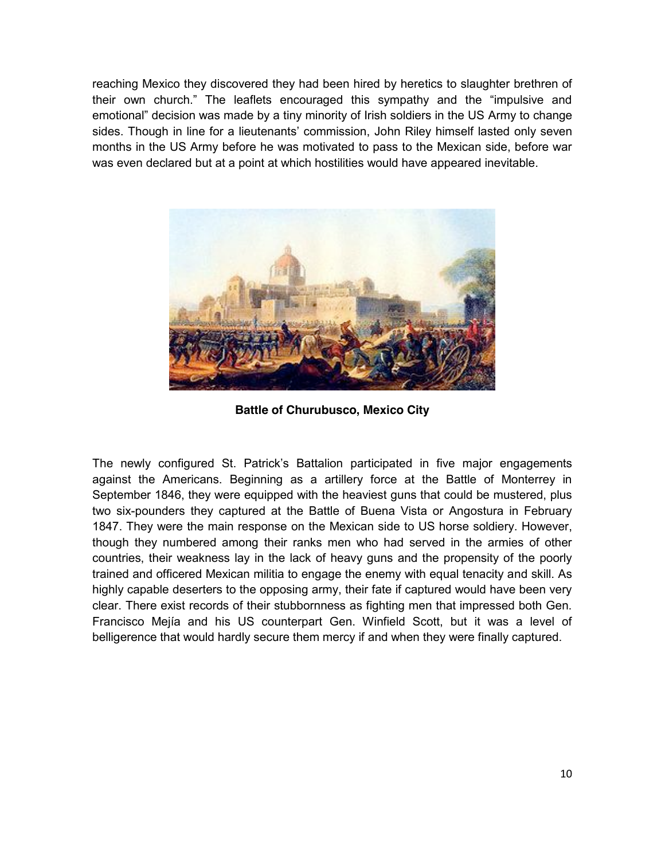reaching Mexico they discovered they had been hired by heretics to slaughter brethren of their own church." The leaflets encouraged this sympathy and the "impulsive and emotional" decision was made by a tiny minority of Irish soldiers in the US Army to change sides. Though in line for a lieutenants' commission, John Riley himself lasted only seven months in the US Army before he was motivated to pass to the Mexican side, before war was even declared but at a point at which hostilities would have appeared inevitable.



**Battle of Churubusco, Mexico City**

The newly configured St. Patrick's Battalion participated in five major engagements against the Americans. Beginning as a artillery force at the Battle of Monterrey in September 1846, they were equipped with the heaviest guns that could be mustered, plus two six-pounders they captured at the Battle of Buena Vista or Angostura in February 1847. They were the main response on the Mexican side to US horse soldiery. However, though they numbered among their ranks men who had served in the armies of other countries, their weakness lay in the lack of heavy guns and the propensity of the poorly trained and officered Mexican militia to engage the enemy with equal tenacity and skill. As highly capable deserters to the opposing army, their fate if captured would have been very clear. There exist records of their stubbornness as fighting men that impressed both Gen. Francisco Mejía and his US counterpart Gen. Winfield Scott, but it was a level of belligerence that would hardly secure them mercy if and when they were finally captured.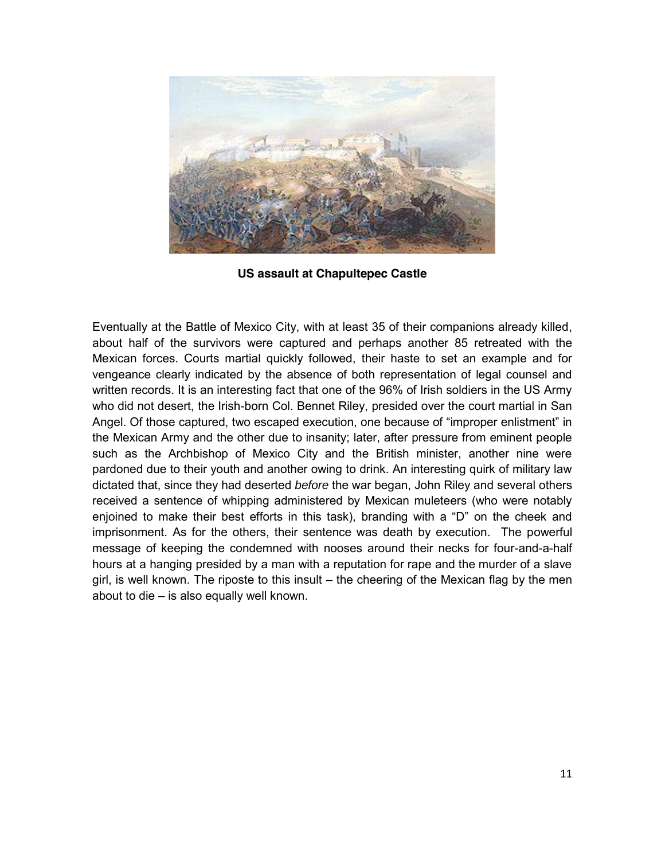

**US assault at Chapultepec Castle**

Eventually at the Battle of Mexico City, with at least 35 of their companions already killed, about half of the survivors were captured and perhaps another 85 retreated with the Mexican forces. Courts martial quickly followed, their haste to set an example and for vengeance clearly indicated by the absence of both representation of legal counsel and written records. It is an interesting fact that one of the 96% of Irish soldiers in the US Army who did not desert, the Irish-born Col. Bennet Riley, presided over the court martial in San Angel. Of those captured, two escaped execution, one because of "improper enlistment" in the Mexican Army and the other due to insanity; later, after pressure from eminent people such as the Archbishop of Mexico City and the British minister, another nine were pardoned due to their youth and another owing to drink. An interesting quirk of military law dictated that, since they had deserted *before* the war began, John Riley and several others received a sentence of whipping administered by Mexican muleteers (who were notably enjoined to make their best efforts in this task), branding with a "D" on the cheek and imprisonment. As for the others, their sentence was death by execution. The powerful message of keeping the condemned with nooses around their necks for four-and-a-half hours at a hanging presided by a man with a reputation for rape and the murder of a slave girl, is well known. The riposte to this insult – the cheering of the Mexican flag by the men about to die – is also equally well known.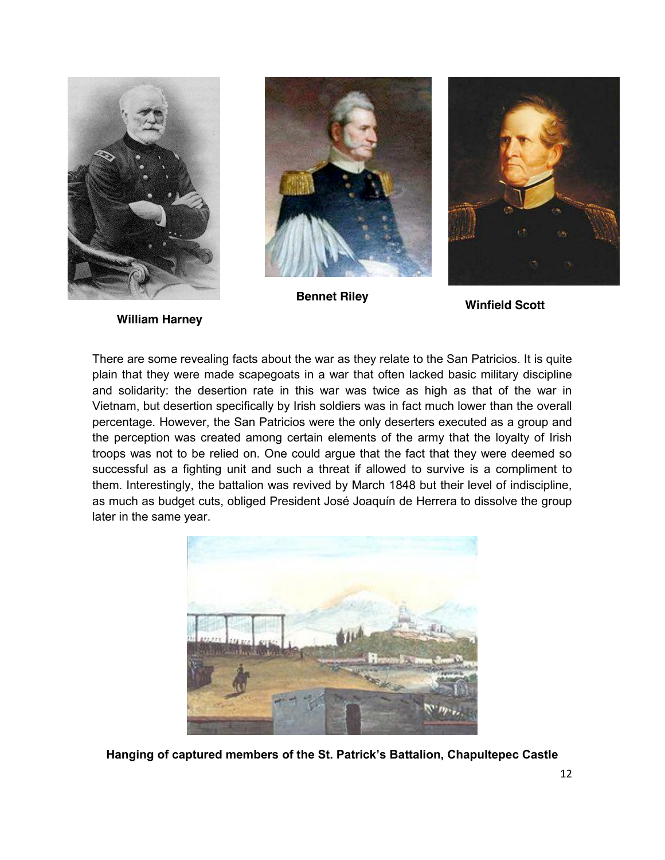



**Bennet Riley Winfield Scott**



**William Harney**

There are some revealing facts about the war as they relate to the San Patricios. It is quite plain that they were made scapegoats in a war that often lacked basic military discipline and solidarity: the desertion rate in this war was twice as high as that of the war in Vietnam, but desertion specifically by Irish soldiers was in fact much lower than the overall percentage. However, the San Patricios were the only deserters executed as a group and the perception was created among certain elements of the army that the loyalty of Irish troops was not to be relied on. One could argue that the fact that they were deemed so successful as a fighting unit and such a threat if allowed to survive is a compliment to them. Interestingly, the battalion was revived by March 1848 but their level of indiscipline, as much as budget cuts, obliged President José Joaquín de Herrera to dissolve the group later in the same year.



**Hanging of captured members of the St. Patrick's Battalion, Chapultepec Castle**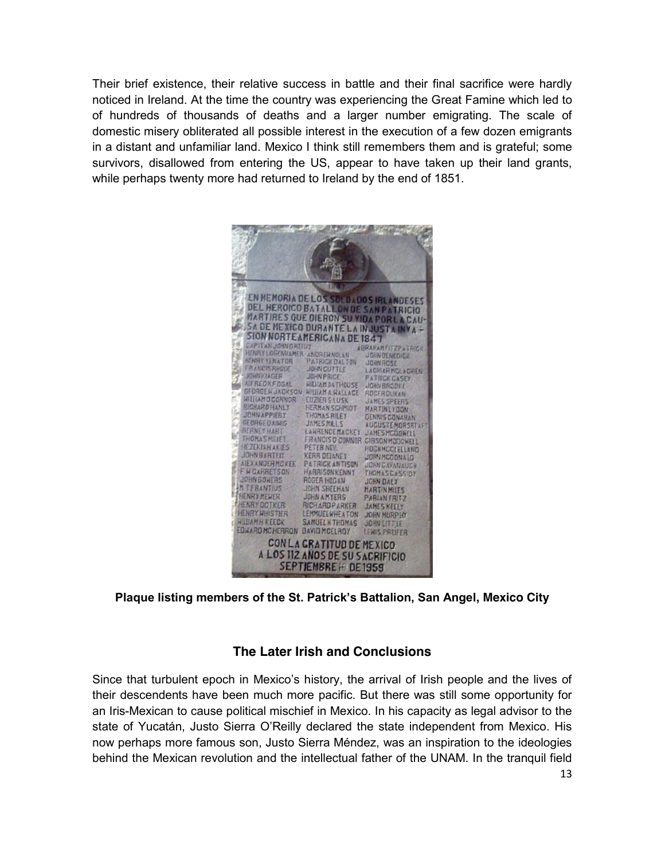Their brief existence, their relative success in battle and their final sacrifice were hardly noticed in Ireland. At the time the country was experiencing the Great Famine which led to of hundreds of thousands of deaths and a larger number emigrating. The scale of domestic misery obliterated all possible interest in the execution of a few dozen emigrants in a distant and unfamiliar land. Mexico I think still remembers them and is grateful; some survivors, disallowed from entering the US, appear to have taken up their land grants, while perhaps twenty more had returned to Ireland by the end of 1851.

| EN HENORIA DE LOS SOLO 400 S IRLANDESES                                                                 |  |  |  |  |  |  |
|---------------------------------------------------------------------------------------------------------|--|--|--|--|--|--|
| DEL HEROICO BATALLON DE SAN PATRICIO                                                                    |  |  |  |  |  |  |
| MARTIRES QUE DIERON SU VIDA POR LA CAU-                                                                 |  |  |  |  |  |  |
| <b>SA DE MEXICO DURANTE LA INJUSTA INVA -</b>                                                           |  |  |  |  |  |  |
| SION NORTE AMERICANA DE 1847                                                                            |  |  |  |  |  |  |
| <b>CAPITAN JOHN GREECY</b><br><b>AGRANAMELTZPATAIGK</b>                                                 |  |  |  |  |  |  |
| HENRY LOGENILAMER ANDREWNOLAN<br><b>JOHN BENEDICK</b>                                                   |  |  |  |  |  |  |
| <b>NUMBER SENATOR</b><br><b><i>PATRICK DALTON</i></b><br>JOHNAOSE<br>FRANCISRHODE<br><b>JOHN CUTTLE</b> |  |  |  |  |  |  |
| <b>LAGHARMCLAGHEN</b><br><b>JOHNKIAGER</b><br><b>JUHN PRICE</b>                                         |  |  |  |  |  |  |
| <b>PATRICK CASEY</b><br><b>AIFREDKFOGAL</b><br><b>HILIANDATHOUSE</b><br><b>JOHN BROOKE</b>              |  |  |  |  |  |  |
| GEORGE WIJACKSON WILLIAM A RALLACE<br>ROGEROUNAN                                                        |  |  |  |  |  |  |
| <b>WIILAMOCONNOR</b><br><b>EUZIER S LUSK</b><br><b>JAMES SPEERS</b>                                     |  |  |  |  |  |  |
| <b>RICHARD HANLY</b><br><b>HERMAN SCHMIDT</b><br>MARTINEYDON                                            |  |  |  |  |  |  |
| <b>JOHNAPPIERT</b><br>THOMAS RILEY<br><b>DENNIS CONAHAN</b>                                             |  |  |  |  |  |  |
| <b>GEORGED AIMS</b><br><b>JAMES MILLS</b><br><b>AUGUSTEMORSRTAFT</b>                                    |  |  |  |  |  |  |
| <b>BEANEYHART</b><br>LAWRENCEMACKEY<br><b>JAMES MCGANELL</b>                                            |  |  |  |  |  |  |
| <b>THOMAS NIELET</b><br><b>FRANCISO CONNOR</b><br>CIBSON HODOWELL<br><b>HEZEKIAHAKIES</b>               |  |  |  |  |  |  |
| <b>PETERNEIL</b><br><b>HOGHNCOLELLAND</b><br><b>JOHN BARTER</b><br><b>KERR DEIANEY</b>                  |  |  |  |  |  |  |
| <b>JORN NCOONALD</b><br><b>AIEXANDERMOKEE</b><br><b>PATRICK ANTISON</b>                                 |  |  |  |  |  |  |
| <b>JOHN CAVANAULA</b><br><b>F H CARRETSON</b><br><b>HARRISON KENNY</b><br>THOMASCASSION                 |  |  |  |  |  |  |
| JOHN BOWERS<br><b>ROGER HOGAN</b><br><b>JOHN DALY</b>                                                   |  |  |  |  |  |  |
| <b>MTEBANTIUS</b><br>JOHN SHEEHAN<br><b>MARTINMITS</b>                                                  |  |  |  |  |  |  |
| <b>HENRY MEWER</b><br><b>JOHN AMYERS</b><br><b>PABIAN FRITZ</b>                                         |  |  |  |  |  |  |
| <b>HENRY OCTKER</b><br><b>RICHARDPARKER</b><br>JAMES NELLY                                              |  |  |  |  |  |  |
| <b>HENRY WHISTIER</b><br>LEMMUELWHEATON<br><b>JOHN MURPITY</b>                                          |  |  |  |  |  |  |
| <b>HIJJAMH KEECK</b><br><b>SAMUEL H THOMAS</b><br>JOHN LITTLE                                           |  |  |  |  |  |  |
| <b>EDWARD MCHERRON</b><br><b>BAVID MCELROY</b><br><b>FWIS PREFER</b>                                    |  |  |  |  |  |  |
|                                                                                                         |  |  |  |  |  |  |
| CON LA GRATITUD DE MEXICO.                                                                              |  |  |  |  |  |  |
| A LOS 112 ANOS DE SU SACRIFICIO                                                                         |  |  |  |  |  |  |
| SEPTIEMBRE HIDE1959                                                                                     |  |  |  |  |  |  |

## **Plaque listing members of the St. Patrick's Battalion, San Angel, Mexico City**

#### **The Later Irish and Conclusions**

Since that turbulent epoch in Mexico's history, the arrival of Irish people and the lives of their descendents have been much more pacific. But there was still some opportunity for an Iris-Mexican to cause political mischief in Mexico. In his capacity as legal advisor to the state of Yucatán, Justo Sierra O'Reilly declared the state independent from Mexico. His now perhaps more famous son, Justo Sierra Méndez, was an inspiration to the ideologies behind the Mexican revolution and the intellectual father of the UNAM. In the tranquil field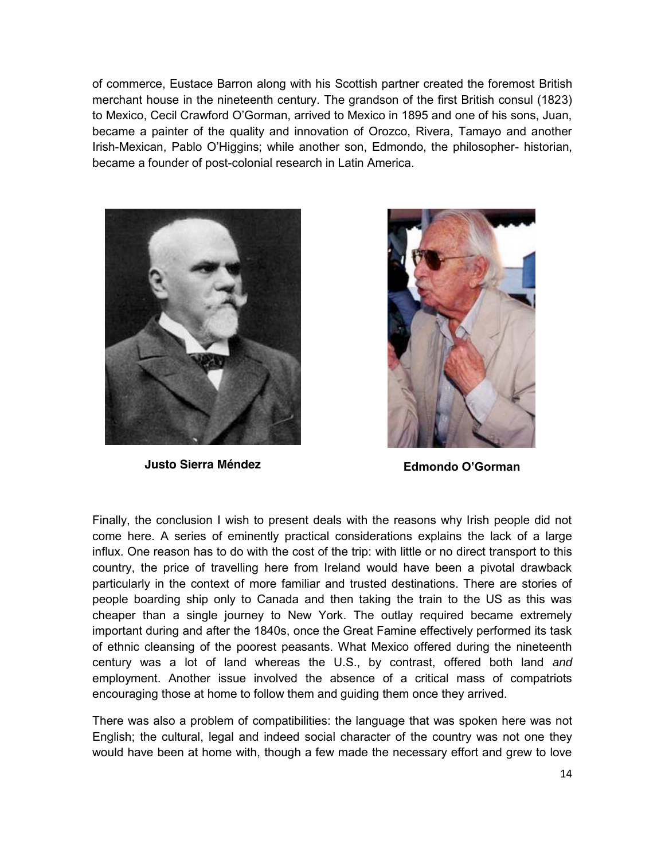of commerce, Eustace Barron along with his Scottish partner created the foremost British merchant house in the nineteenth century. The grandson of the first British consul (1823) to Mexico, Cecil Crawford O'Gorman, arrived to Mexico in 1895 and one of his sons, Juan, became a painter of the quality and innovation of Orozco, Rivera, Tamayo and another Irish-Mexican, Pablo O'Higgins; while another son, Edmondo, the philosopher- historian, became a founder of post-colonial research in Latin America.



**Justo Sierra Méndez Edmondo O'Gorman**



Finally, the conclusion I wish to present deals with the reasons why Irish people did not come here. A series of eminently practical considerations explains the lack of a large influx. One reason has to do with the cost of the trip: with little or no direct transport to this country, the price of travelling here from Ireland would have been a pivotal drawback particularly in the context of more familiar and trusted destinations. There are stories of people boarding ship only to Canada and then taking the train to the US as this was cheaper than a single journey to New York. The outlay required became extremely important during and after the 1840s, once the Great Famine effectively performed its task of ethnic cleansing of the poorest peasants. What Mexico offered during the nineteenth century was a lot of land whereas the U.S., by contrast, offered both land and employment. Another issue involved the absence of a critical mass of compatriots encouraging those at home to follow them and guiding them once they arrived.

There was also a problem of compatibilities: the language that was spoken here was not English; the cultural, legal and indeed social character of the country was not one they would have been at home with, though a few made the necessary effort and grew to love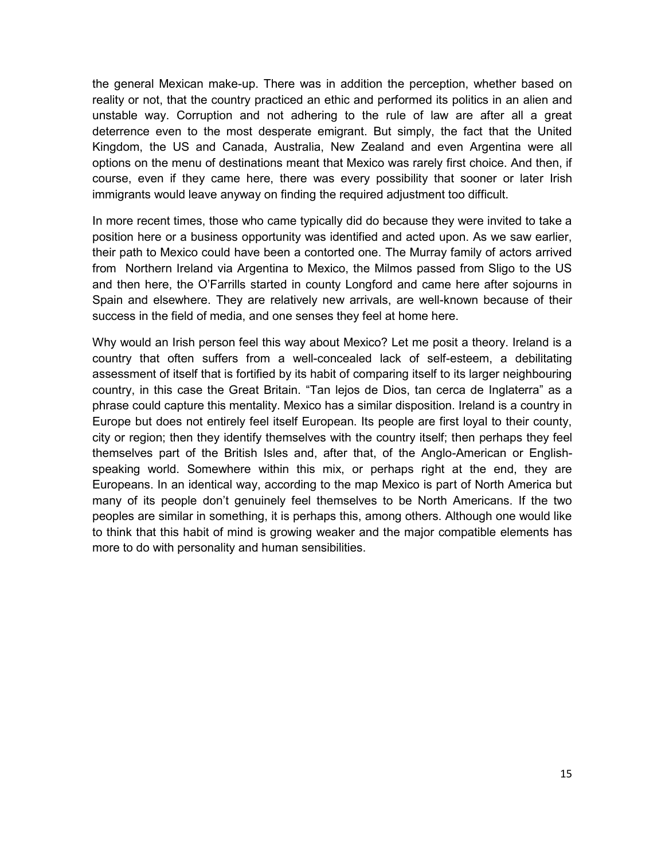the general Mexican make-up. There was in addition the perception, whether based on reality or not, that the country practiced an ethic and performed its politics in an alien and unstable way. Corruption and not adhering to the rule of law are after all a great deterrence even to the most desperate emigrant. But simply, the fact that the United Kingdom, the US and Canada, Australia, New Zealand and even Argentina were all options on the menu of destinations meant that Mexico was rarely first choice. And then, if course, even if they came here, there was every possibility that sooner or later Irish immigrants would leave anyway on finding the required adjustment too difficult.

In more recent times, those who came typically did do because they were invited to take a position here or a business opportunity was identified and acted upon. As we saw earlier, their path to Mexico could have been a contorted one. The Murray family of actors arrived from Northern Ireland via Argentina to Mexico, the Milmos passed from Sligo to the US and then here, the O'Farrills started in county Longford and came here after sojourns in Spain and elsewhere. They are relatively new arrivals, are well-known because of their success in the field of media, and one senses they feel at home here.

Why would an Irish person feel this way about Mexico? Let me posit a theory. Ireland is a country that often suffers from a well-concealed lack of self-esteem, a debilitating assessment of itself that is fortified by its habit of comparing itself to its larger neighbouring country, in this case the Great Britain. "Tan lejos de Dios, tan cerca de Inglaterra" as a phrase could capture this mentality. Mexico has a similar disposition. Ireland is a country in Europe but does not entirely feel itself European. Its people are first loyal to their county, city or region; then they identify themselves with the country itself; then perhaps they feel themselves part of the British Isles and, after that, of the Anglo-American or Englishspeaking world. Somewhere within this mix, or perhaps right at the end, they are Europeans. In an identical way, according to the map Mexico is part of North America but many of its people don't genuinely feel themselves to be North Americans. If the two peoples are similar in something, it is perhaps this, among others. Although one would like to think that this habit of mind is growing weaker and the major compatible elements has more to do with personality and human sensibilities.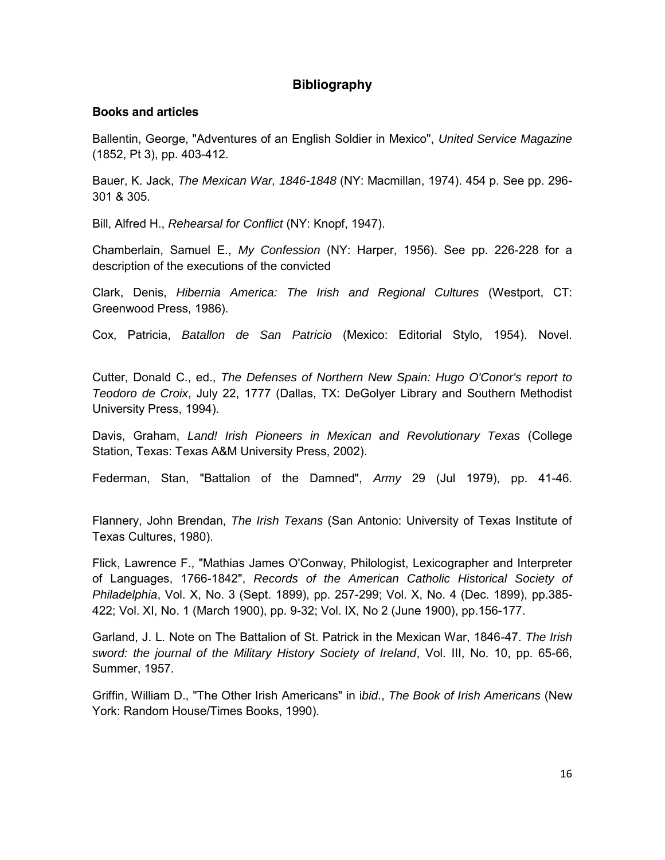## **Bibliography**

#### **Books and articles**

Ballentin, George, "Adventures of an English Soldier in Mexico", United Service Magazine (1852, Pt 3), pp. 403-412.

Bauer, K. Jack, The Mexican War, 1846-1848 (NY: Macmillan, 1974). 454 p. See pp. 296- 301 & 305.

Bill, Alfred H., Rehearsal for Conflict (NY: Knopf, 1947).

Chamberlain, Samuel E., My Confession (NY: Harper, 1956). See pp. 226-228 for a description of the executions of the convicted

Clark, Denis, Hibernia America: The Irish and Regional Cultures (Westport, CT: Greenwood Press, 1986).

Cox, Patricia, Batallon de San Patricio (Mexico: Editorial Stylo, 1954). Novel.

Cutter, Donald C., ed., The Defenses of Northern New Spain: Hugo O'Conor's report to Teodoro de Croix, July 22, 1777 (Dallas, TX: DeGolyer Library and Southern Methodist University Press, 1994).

Davis, Graham, Land! Irish Pioneers in Mexican and Revolutionary Texas (College Station, Texas: Texas A&M University Press, 2002).

Federman, Stan, "Battalion of the Damned", Army 29 (Jul 1979), pp. 41-46.

Flannery, John Brendan, The Irish Texans (San Antonio: University of Texas Institute of Texas Cultures, 1980).

Flick, Lawrence F., "Mathias James O'Conway, Philologist, Lexicographer and Interpreter of Languages, 1766-1842", Records of the American Catholic Historical Society of Philadelphia, Vol. X, No. 3 (Sept. 1899), pp. 257-299; Vol. X, No. 4 (Dec. 1899), pp.385- 422; Vol. XI, No. 1 (March 1900), pp. 9-32; Vol. IX, No 2 (June 1900), pp.156-177.

Garland, J. L. Note on The Battalion of St. Patrick in the Mexican War, 1846-47. The Irish sword: the journal of the Military History Society of Ireland, Vol. III, No. 10, pp. 65-66, Summer, 1957.

Griffin, William D., "The Other Irish Americans" in ibid., The Book of Irish Americans (New York: Random House/Times Books, 1990).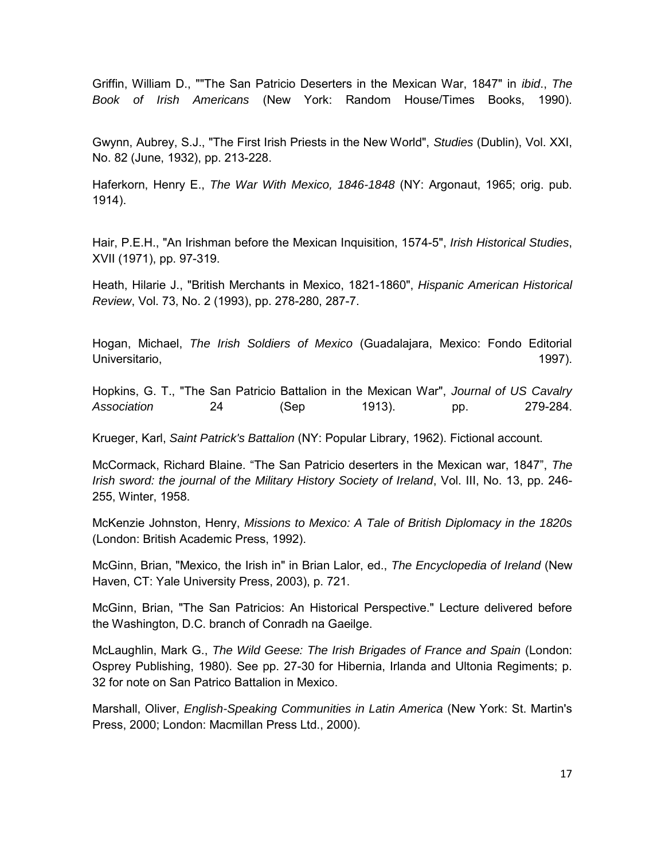Griffin, William D., ""The San Patricio Deserters in the Mexican War, 1847" in ibid., The Book of Irish Americans (New York: Random House/Times Books, 1990).

Gwynn, Aubrey, S.J., "The First Irish Priests in the New World", Studies (Dublin), Vol. XXI, No. 82 (June, 1932), pp. 213-228.

Haferkorn, Henry E., The War With Mexico, 1846-1848 (NY: Argonaut, 1965; orig. pub. 1914).

Hair, P.E.H., "An Irishman before the Mexican Inquisition, 1574-5", Irish Historical Studies, XVII (1971), pp. 97-319.

Heath, Hilarie J., "British Merchants in Mexico, 1821-1860", Hispanic American Historical Review, Vol. 73, No. 2 (1993), pp. 278-280, 287-7.

Hogan, Michael, The Irish Soldiers of Mexico (Guadalajara, Mexico: Fondo Editorial Universitario, 1997). (1997).

Hopkins, G. T., "The San Patricio Battalion in the Mexican War", Journal of US Cavalry Association 24 (Sep 1913). pp. 279-284.

Krueger, Karl, Saint Patrick's Battalion (NY: Popular Library, 1962). Fictional account.

McCormack, Richard Blaine. "The San Patricio deserters in the Mexican war, 1847", The Irish sword: the journal of the Military History Society of Ireland, Vol. III, No. 13, pp. 246- 255, Winter, 1958.

McKenzie Johnston, Henry, Missions to Mexico: A Tale of British Diplomacy in the 1820s (London: British Academic Press, 1992).

McGinn, Brian, "Mexico, the Irish in" in Brian Lalor, ed., The Encyclopedia of Ireland (New Haven, CT: Yale University Press, 2003), p. 721.

McGinn, Brian, "The San Patricios: An Historical Perspective." Lecture delivered before the Washington, D.C. branch of Conradh na Gaeilge.

McLaughlin, Mark G., The Wild Geese: The Irish Brigades of France and Spain (London: Osprey Publishing, 1980). See pp. 27-30 for Hibernia, Irlanda and Ultonia Regiments; p. 32 for note on San Patrico Battalion in Mexico.

Marshall, Oliver, English-Speaking Communities in Latin America (New York: St. Martin's Press, 2000; London: Macmillan Press Ltd., 2000).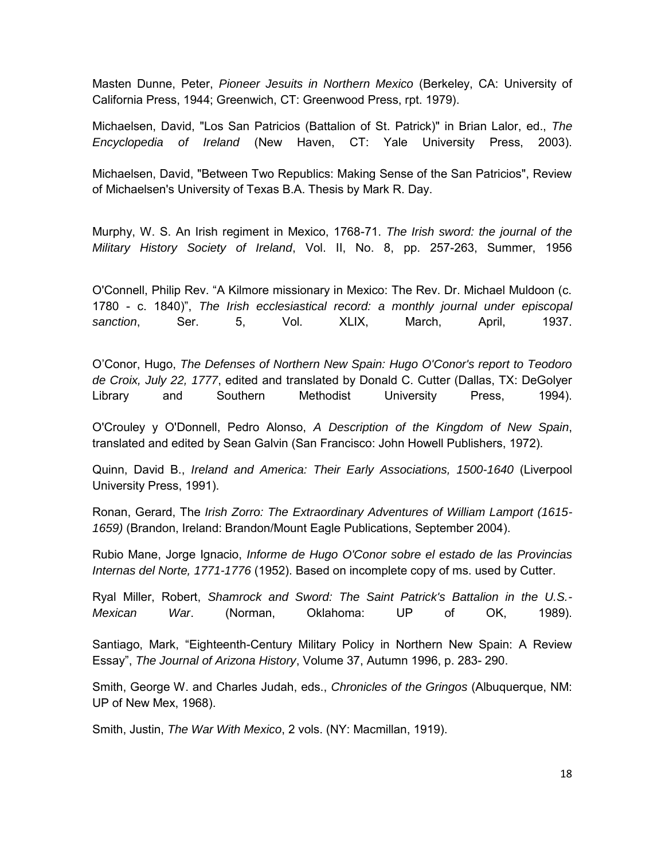Masten Dunne, Peter, Pioneer Jesuits in Northern Mexico (Berkeley, CA: University of California Press, 1944; Greenwich, CT: Greenwood Press, rpt. 1979).

Michaelsen, David, "Los San Patricios (Battalion of St. Patrick)" in Brian Lalor, ed., The Encyclopedia of Ireland (New Haven, CT: Yale University Press, 2003).

Michaelsen, David, "Between Two Republics: Making Sense of the San Patricios", Review of Michaelsen's University of Texas B.A. Thesis by Mark R. Day.

Murphy, W. S. An Irish regiment in Mexico, 1768-71. The Irish sword: the journal of the Military History Society of Ireland, Vol. II, No. 8, pp. 257-263, Summer, 1956

O'Connell, Philip Rev. "A Kilmore missionary in Mexico: The Rev. Dr. Michael Muldoon (c. 1780 - c. 1840)", The Irish ecclesiastical record: a monthly journal under episcopal sanction, Ser. 5, Vol. XLIX, March, April, 1937.

O'Conor, Hugo, The Defenses of Northern New Spain: Hugo O'Conor's report to Teodoro de Croix, July 22, 1777, edited and translated by Donald C. Cutter (Dallas, TX: DeGolyer Library and Southern Methodist University Press, 1994).

O'Crouley y O'Donnell, Pedro Alonso, A Description of the Kingdom of New Spain, translated and edited by Sean Galvin (San Francisco: John Howell Publishers, 1972).

Quinn, David B., Ireland and America: Their Early Associations, 1500-1640 (Liverpool University Press, 1991).

Ronan, Gerard, The Irish Zorro: The Extraordinary Adventures of William Lamport (1615- 1659) (Brandon, Ireland: Brandon/Mount Eagle Publications, September 2004).

Rubio Mane, Jorge Ignacio, Informe de Hugo O'Conor sobre el estado de las Provincias Internas del Norte, 1771-1776 (1952). Based on incomplete copy of ms. used by Cutter.

Ryal Miller, Robert, Shamrock and Sword: The Saint Patrick's Battalion in the U.S.- Mexican War. (Norman, Oklahoma: UP of OK, 1989).

Santiago, Mark, "Eighteenth-Century Military Policy in Northern New Spain: A Review Essay", The Journal of Arizona History, Volume 37, Autumn 1996, p. 283- 290.

Smith, George W. and Charles Judah, eds., Chronicles of the Gringos (Albuquerque, NM: UP of New Mex, 1968).

Smith, Justin, The War With Mexico, 2 vols. (NY: Macmillan, 1919).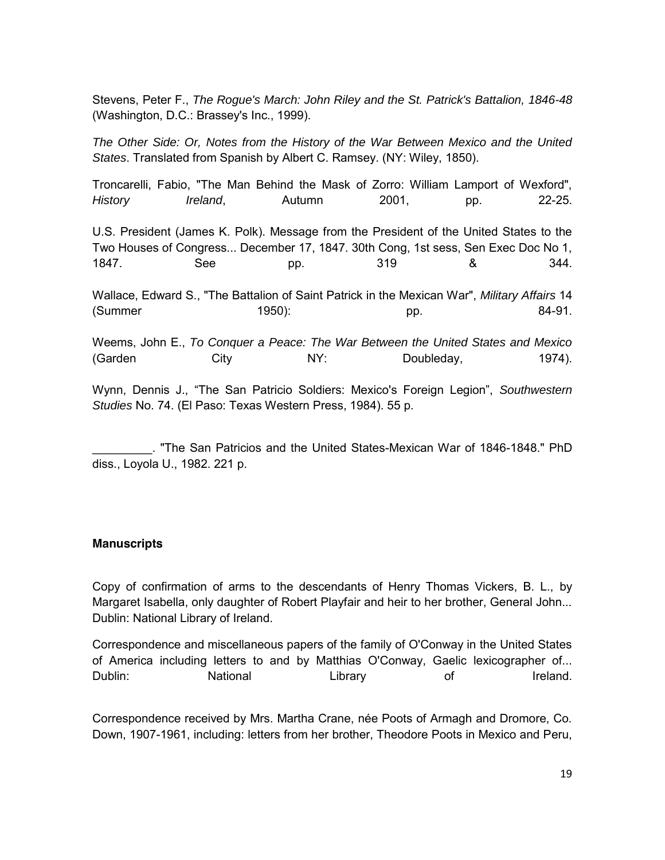Stevens, Peter F., The Rogue's March: John Riley and the St. Patrick's Battalion, 1846-48 (Washington, D.C.: Brassey's Inc., 1999).

The Other Side: Or, Notes from the History of the War Between Mexico and the United States. Translated from Spanish by Albert C. Ramsey. (NY: Wiley, 1850).

Troncarelli, Fabio, "The Man Behind the Mask of Zorro: William Lamport of Wexford", History Ireland, Autumn 2001, pp. 22-25. U.S. President (James K. Polk). Message from the President of the United States to the Two Houses of Congress... December 17, 1847. 30th Cong, 1st sess, Sen Exec Doc No 1, 1847. See pp. 319 & 344. Wallace, Edward S., "The Battalion of Saint Patrick in the Mexican War", Military Affairs 14 (Summer 1950): pp. 84-91. Weems, John E., To Conquer a Peace: The War Between the United States and Mexico (Garden City NY: Doubleday, 1974). Wynn, Dennis J., "The San Patricio Soldiers: Mexico's Foreign Legion", Southwestern Studies No. 74. (El Paso: Texas Western Press, 1984). 55 p.

\_\_\_\_\_\_\_\_\_. "The San Patricios and the United States-Mexican War of 1846-1848." PhD diss., Loyola U., 1982. 221 p.

#### **Manuscripts**

Copy of confirmation of arms to the descendants of Henry Thomas Vickers, B. L., by Margaret Isabella, only daughter of Robert Playfair and heir to her brother, General John... Dublin: National Library of Ireland.

Correspondence and miscellaneous papers of the family of O'Conway in the United States of America including letters to and by Matthias O'Conway, Gaelic lexicographer of... Dublin: National Library of Ireland.

Correspondence received by Mrs. Martha Crane, née Poots of Armagh and Dromore, Co. Down, 1907-1961, including: letters from her brother, Theodore Poots in Mexico and Peru,